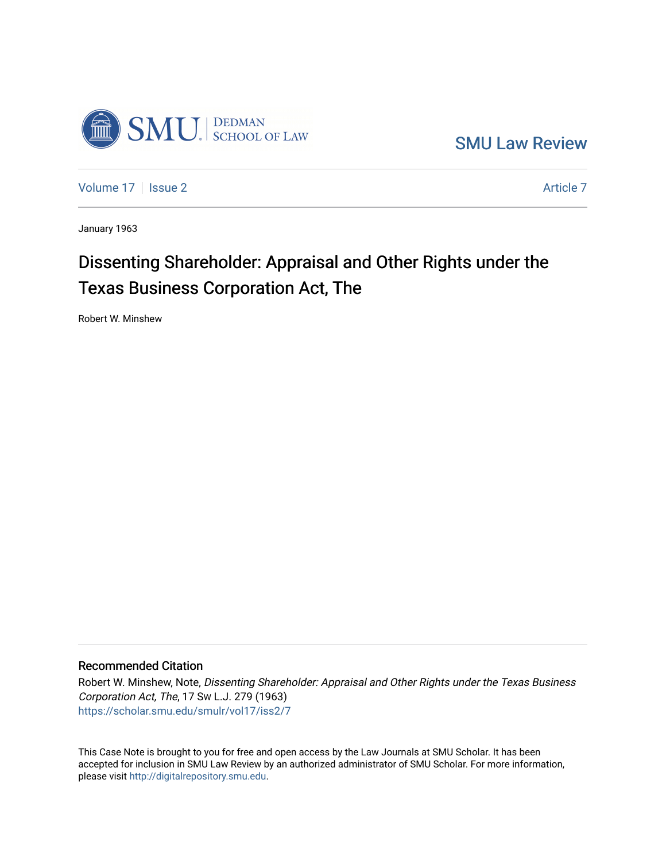

[SMU Law Review](https://scholar.smu.edu/smulr) 

[Volume 17](https://scholar.smu.edu/smulr/vol17) | [Issue 2](https://scholar.smu.edu/smulr/vol17/iss2) Article 7

January 1963

# Dissenting Shareholder: Appraisal and Other Rights under the Texas Business Corporation Act, The

Robert W. Minshew

### Recommended Citation

Robert W. Minshew, Note, Dissenting Shareholder: Appraisal and Other Rights under the Texas Business Corporation Act, The, 17 SW L.J. 279 (1963) [https://scholar.smu.edu/smulr/vol17/iss2/7](https://scholar.smu.edu/smulr/vol17/iss2/7?utm_source=scholar.smu.edu%2Fsmulr%2Fvol17%2Fiss2%2F7&utm_medium=PDF&utm_campaign=PDFCoverPages) 

This Case Note is brought to you for free and open access by the Law Journals at SMU Scholar. It has been accepted for inclusion in SMU Law Review by an authorized administrator of SMU Scholar. For more information, please visit [http://digitalrepository.smu.edu.](http://digitalrepository.smu.edu/)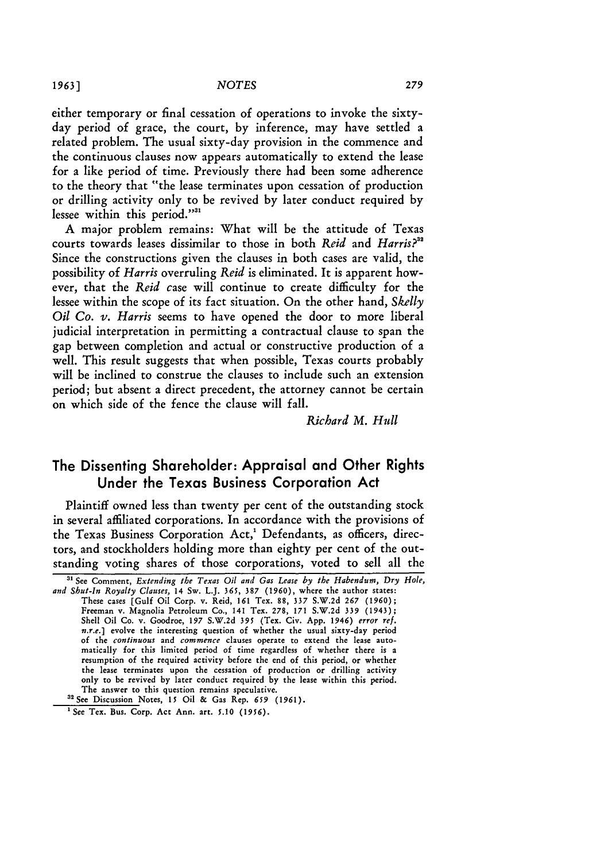either temporary or final cessation of operations to invoke the sixtyday period of grace, the court, by inference, may have settled a related problem. The usual sixty-day provision in the commence and the continuous clauses now appears automatically to extend the lease for a like period of time. Previously there had been some adherence to the theory that "the lease terminates upon cessation of production or drilling activity only to be revived by later conduct required by lessee within this period."<sup>31</sup>

A major problem remains: What will be the attitude of Texas courts towards leases dissimilar to those in both *Reid* and *Harris?"* Since the constructions given the clauses in both cases are valid, the possibility of *Harris* overruling *Reid* is eliminated. It is apparent however, that the *Reid* case will continue to create difficulty for the lessee within the scope of its fact situation. On the other hand, *Skelly Oil Co. v. Harris* seems to have opened the door to more liberal judicial interpretation in permitting a contractual clause to span the gap between completion and actual or constructive production of a well. This result suggests that when possible, Texas courts probably will be inclined to construe the clauses to include such an extension period; but absent a direct precedent, the attorney cannot be certain on which side of the fence the clause will fall.

*Richard M. Hull*

## The Dissenting Shareholder: Appraisal and Other Rights Under the Texas Business Corporation Act

Plaintiff owned less than twenty per cent of the outstanding stock in several affiliated corporations. In accordance with the provisions of the Texas Business Corporation Act,<sup>1</sup> Defendants, as officers, directors, and stockholders holding more than eighty per cent of the outstanding voting shares of those corporations, voted to sell all the

<sup>&</sup>lt;sup>31</sup> See Comment, *Extending the Texas Oil and Gas Lease by the Habendum*, *Dry Hole*, *and Shut-In Royalty Clauses,* 14 Sw. L.J. 365, 387 **(1960),** where the author states: These cases [Gulf Oil Corp. v. Reid, 161 Tex. **88, 337** S.W.2d 267 (1960); Freeman v. Magnolia Petroleum Co., 141 Tex. *278, 171* S.W.2d 339 (1943); Shell Oil Co. v. Goodroe, 197 S.W.2d 395 (Tex. Civ. App. 1946) *error ref. n.r.e.]* evolve the interesting question of whether the usual sixty-day period of the *continuous* and *commence* clauses operate to extend the lease automatically for this limited period of time regardless of whether there is a resumption of the required activity before the end of this period, or whether the lease terminates upon the cessation of production or drilling activity only to be revived by later conduct required by the lease within this period. The answer to this question remains speculative.

<sup>&</sup>lt;sup>32</sup> See Discussion Notes, 15 Oil & Gas Rep. 659 (1961).

<sup>&</sup>lt;sup>1</sup> See Tex. Bus. Corp. Act Ann. art. 5.10 (1956).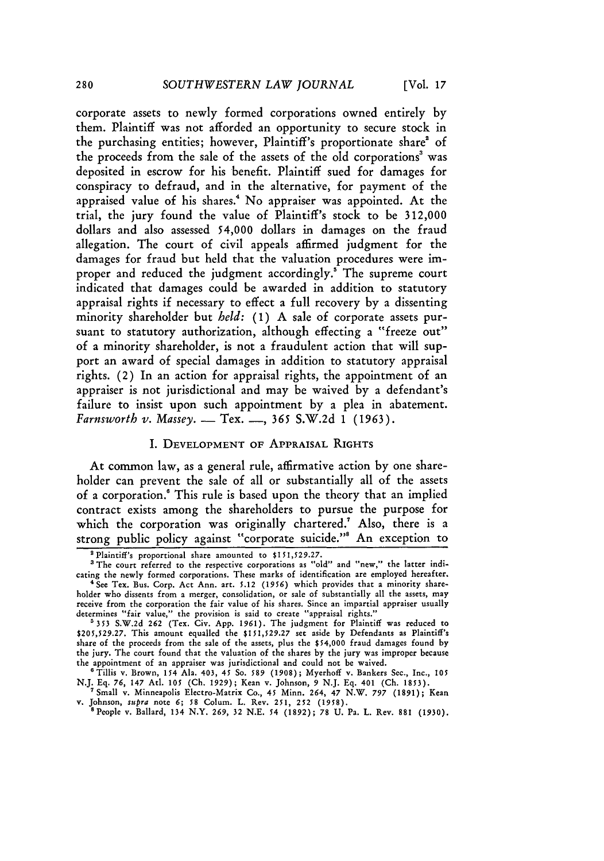corporate assets to newly formed corporations owned entirely **by** them. Plaintiff was not afforded an opportunity to secure stock in the purchasing entities; however, Plaintiff's proportionate share' of the proceeds from the sale of the assets of the old corporations' was deposited in escrow for his benefit. Plaintiff sued for damages for conspiracy to defraud, and in the alternative, for payment of the appraised value of his shares." No appraiser was appointed. At the trial, the jury found the value of Plaintiff's stock to be **312,000** dollars and also assessed 54,000 dollars in damages on the fraud allegation. The court of civil appeals affirmed judgment for the damages for fraud but held that the valuation procedures were improper and reduced the judgment accordingly.<sup>5</sup> The supreme court indicated that damages could be awarded in addition to statutory appraisal rights if necessary to effect a full recovery **by** a dissenting minority shareholder but *held:* **(1) A** sale of corporate assets pursuant to statutory authorization, although effecting a "freeze out" of a minority shareholder, is not a fraudulent action that will support an award of special damages in addition to statutory appraisal rights. (2) In an action for appraisal rights, the appointment of an appraiser is not jurisdictional and may be waived **by** a defendant's failure to insist upon such appointment **by** a plea in abatement. *Farnsworth v. Massey.* - Tex. **-, 365** S.W.2d **1 (1963).**

#### I. DEVELOPMENT OF APPRAISAL RIGHTS

At common law, as a general rule, affirmative action **by** one shareholder can prevent the sale of all or substantially all of the assets of a corporation.' This rule is based upon the theory that an implied contract exists among the shareholders to pursue the purpose for which the corporation was originally chartered.<sup>7</sup> Also, there is a strong public policy against "corporate suicide."' An exception to

**<sup>2</sup>**Plaintiff's proportional share amounted to **\$151,529.27.**

<sup>&</sup>lt;sup>3</sup> The court referred to the respective corporations as "old" and "new," the latter indicating the newly formed corporations. These marks of identification are employed hereafter. 'See Tex. Bus. Corp. Act Ann. art. **5.12** (1956) which provides that a minority share-

holder who dissents from a merger, consolidation, or sale of substantially all the assets, may receive from the corporation the fair value of his shares. Since an impartial appraiser usually determines "fair value," the provision is said to create "appraisal rights."

**<sup>5353</sup>** S.W.2d 262 (Tex. Civ. App. 1961). The judgment for Plaintiff was reduced to \$205,529.27. This amount equalled the \$151,529.27 set aside by Defendants as Plaintiff's share of the proceeds from the sale of the assets, plus the \$54,000 fraud damages found **by** the jury. The court found that the valuation of the shares by the jury was improper because the appointment of an appraiser was jurisdictional and could not **be** waived.

<sup>&#</sup>x27;Tillis v. Brown, **154** Ala. 403, **45** So. 589 **(1908);** Myerhoff v. Bankers Sec., Inc., 105 **N.J.** Eq. 76, 147 Atl. 105 (Ch. 1929); Kean v. Johnson, 9 **N.J. Eq.** 401 (Ch. **1853). '** Small v. Minneapolis Electro-Matrix Co., 45 Minn. 264, 47 N.W. *797* (1891); Kean

v. Johnson, supra note **6;** *58* Colum. L. Rev. 251, **252 (1958).** 'People v. Ballard, **134** N.Y. 269, **32** N.E. 54 (1892); **78 U.** Pa. L. Rev. 881 (1930).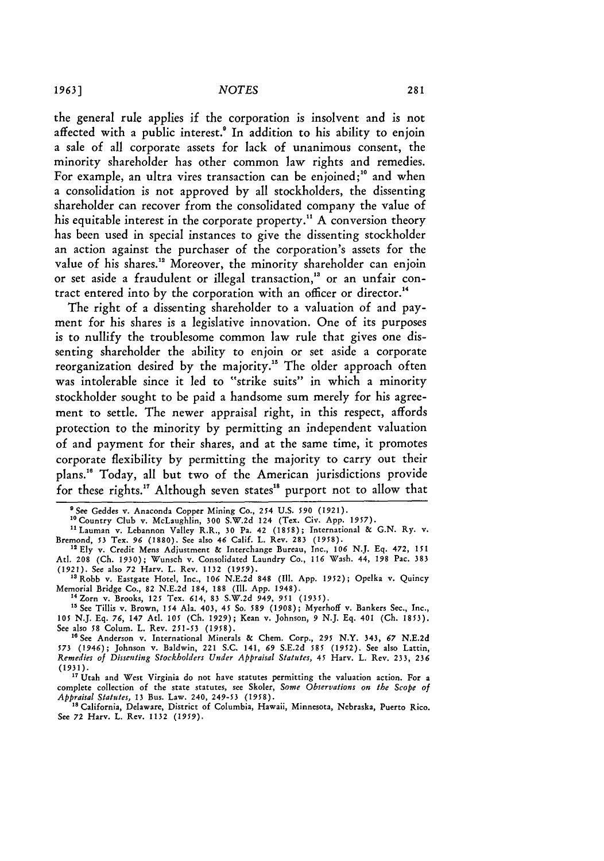the general rule applies if the corporation is insolvent and is not affected with a public interest.<sup>8</sup> In addition to his ability to enjoin a sale of all corporate assets for lack of unanimous consent, the minority shareholder has other common law rights and remedies. For example, an ultra vires transaction can be enjoined;<sup>10</sup> and when a consolidation is not approved by all stockholders, the dissenting shareholder can recover from the consolidated company the value of his equitable interest in the corporate property.<sup>11</sup> A conversion theory has been used in special instances to give the dissenting stockholder an action against the purchaser of the corporation's assets for the value of his shares.<sup>12</sup> Moreover, the minority shareholder can enjoin or set aside a fraudulent or illegal transaction,<sup>13</sup> or an unfair contract entered into by the corporation with an officer or director."

The right of a dissenting shareholder to a valuation of and payment for his shares is a legislative innovation. One of its purposes is to nullify the troublesome common law rule that gives one dissenting shareholder the ability to enjoin or set aside a corporate reorganization desired by the majority." The older approach often was intolerable since it led to "strike suits" in which a minority stockholder sought to be paid a handsome sum merely for his agreement to settle. The newer appraisal right, in this respect, affords protection to the minority by permitting an independent valuation of and payment for their shares, and at the same time, it promotes corporate flexibility by permitting the majority to carry out their plans." Today, all but two of the American jurisdictions provide for these rights.<sup>17</sup> Although seven states<sup>18</sup> purport not to allow that

"Ely v. Credit Mens Adjustment & Interchange Bureau, Inc., *106* N.J. Eq. 472, **151** At. **208** (Ch. **1930);** Wunsch v. Consolidated Laundry Co., *116* Wash. 44, 198 Pac. **383** (1921). See also **72** Harv. L. Rev. 1132 *(1959).*

**15** See Tillis v. Brown, 154 Ala. 403, 45 So. *589* **(1908);** Myerhoff v. Bankers Sec., Inc., **105** N.J. Eq. *76,* 147 Atl. **105** (Ch. **1929);** Kean v. Johnson, *9* N.J. Eq. 401 (Ch. 1853). See also **58** Colum. L. Rev. 251-53 (1958).

<sup>16</sup> See Anderson v. International Minerals & Chem. Corp., 295 N.Y. 343, 67 N.E.2d *573* (1946); Johnson v. Baldwin, 221 S.C. 141, **69** S.E.2d **585** *(1952).* See also Lattin, *Remedies of Dissenting Stockholders Under Appraisal Statutes,* 45 Harv. L. Rev. 233, **236** (1931).

<sup>17</sup> Utah and West Virginia do not have statutes permitting the valuation action. For a complete collection of the state statutes, see Skoler, *Some Observations on the Scope of Appraisal Statutes,* **13** Bus. Law. 240, 249-53 (1958).

18 California, Delaware, District of Columbia, Hawaii, Minnesota, Nebraska, Puerto Rico. See 72 Harv. L. Rev. 1132 (1959).

<sup>&#</sup>x27;See Geddes v. Anaconda Copper Mining Co., *254* U.S. *590* (1921).

<sup>&</sup>quot;Country Club v. McLaughlin, **300** S.W.2d 124 (Tex. Civ. App. **1957).**

<sup>&</sup>quot;Lauman v. Lebannon Valley R.R., **30** Pa. 42 **(1858);** International **&** G.N. Ry. v. Bremond, *53* Tex. *96* (1880). See also 46 Calif. **L.** Rev. 283 (1958).

<sup>&</sup>quot;Robb v. Eastgate Hotel, Inc., *106* N.E.2d 848 (Il1. App. **1952);** Opelka v. Quincy Memorial Bridge Co., 82 N.E.2d 184, 188 (Ill. App. 1948). <sup>4</sup> Zorn v. Brooks, **125** Tex. 614, 83 S.W.2d *949, 951* **(1935).**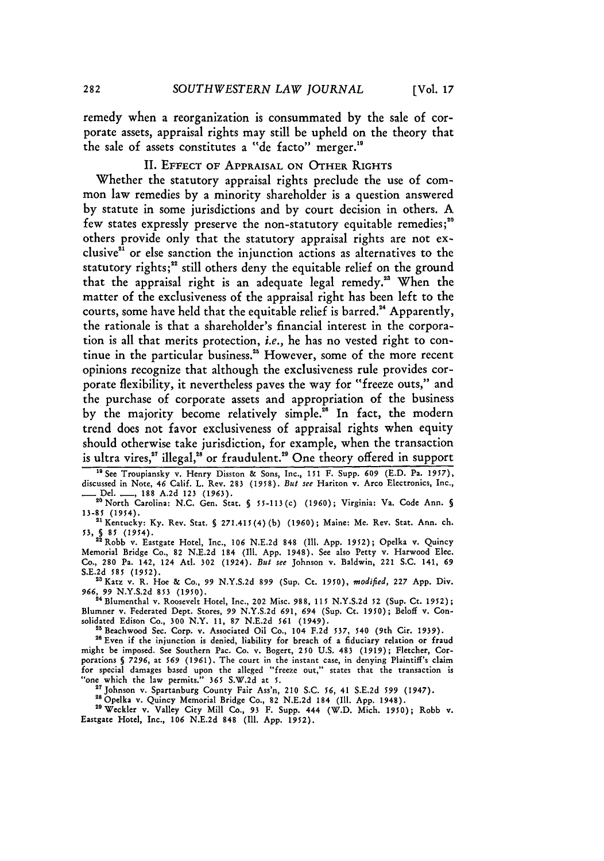remedy when a reorganization is consummated **by** the sale of corporate assets, appraisal rights may still be upheld on the theory that the sale of assets constitutes a "de facto" merger.<sup>19</sup>

#### II. EFFECT OF APPRAISAL ON OTHER RIGHTS

Whether the statutory appraisal rights preclude the use of common law remedies **by** a minority shareholder is a question answered by statute in some jurisdictions and **by** court decision in others. A few states expressly preserve the non-statutory equitable remedies;<sup>20</sup> others provide only that the statutory appraisal rights are not exclusive" or else sanction the injunction actions as alternatives to the statutory rights;<sup>22</sup> still others deny the equitable relief on the ground that the appraisal right is an adequate legal remedy." When the matter of the exclusiveness of the appraisal right has been left to the courts, some have held that the equitable relief is barred." Apparently, the rationale is that a shareholder's financial interest in the corporation is all that merits protection, *i.e.,* he has no vested right to continue in the particular business." However, some of the more recent opinions recognize that although the exclusiveness rule provides corporate flexibility, it nevertheless paves the way for "freeze outs," and the purchase of corporate assets and appropriation of the business by the majority become relatively simple.<sup>26</sup> In fact, the modern trend does not favor exclusiveness of appraisal rights when equity should otherwise take jurisdiction, for example, when the transaction is ultra vires,<sup>27</sup> illegal,<sup>26</sup> or fraudulent.<sup>29</sup> One theory offered in support

<sup>19</sup> See Troupiansky v. Henry Disston & Sons, Inc., 151 F. Supp. 609 (E.D. Pa. 1957), discussed in Note, 46 Calif. L. Rev. **283** (1958). *But see* Hariton v. Arco Electronics, Inc.,

**-** Del. **-,** 188 A.2d **123** (1963). "North Carolina: N.C. Gen. Stat. § 55-113(c) **(1960);** Virginia: Va. Code Ann. *5* 13-85 (1954). "'Kentucky: Ky. Rev. Stat. **§** 271.415(4)(b) (1960); Maine: Me. Rev, Stat. Ann. ch.

**53, S 85** (1954). 22Robb v. Eastgate Hotel, Inc., **106** N.E.2d 848 (111. App. 1952); Opelka v. Quincy

Memorial Bridge Co., 82 N.E.2d 184 (Ill. App. 1948). See also Petty v. Harwood Elec. Co., 280 Pa. 142, 124 At. 302 (1924). *But see* Johnson v. Baldwin, 221 S.C. 141, **69 S.E.2d** *585* **(1952).**

"sKatz v. R. Hoe **&** Co., **99** N.Y.S.2d 899 (Sup. Ct. **1950),** *modified,* 227 App. Div. **966,** *99* **N.Y.S.2d 853** (1950). **'"** Blumenthal v. Roosevelt Hotel, Inc., 202 Misc. 988, **115** N.Y.S.2d 52 (Sup. Ct. 1952);

Blumner v. Federated Dept. Stores, **99** N.Y.S.2d **691,** *694* (Sup. Ct. 1950); Beloff v. Consolidated Edison Co., **300** N.Y. 11, 87 N.E.2d *561* (1949). "Beachwood Sec. Corp. v. Associated Oil Co., 104 F.2d **537,** 540 (9th Cir. 1939).

26 Even if the injunction is denied, liability for breach of a fiduciary relation or fraud might be imposed. See Southern Pac. Co. v. Bogert, **250** U.S. 483 (1919); Fletcher, Corporations **§** *7296,* at *569* (1961). The court in the instant case, in denying Plaintiff's claim for special damages based upon the alleged "freeze out," states that the transaction is "one which the law permits." **365** S.W.2d at 5. 2 Johnson v. Spartanburg County Fair Ass'n, 210 S.C. *56,* 41 S.E.2d *599* (1947).

28 Opelka v. Quincy Memorial Bridge Co., 82 N.E.2d 184 (Ill. App. 1948).<br><sup>29</sup> Weckler v. Valley City Mill Co., 93 F. Supp. 444 (W.D. Mich. 1950); Robb v. Eastgate Hotel, Inc., **106** N.E.2d 848 (Ill. App. 1952).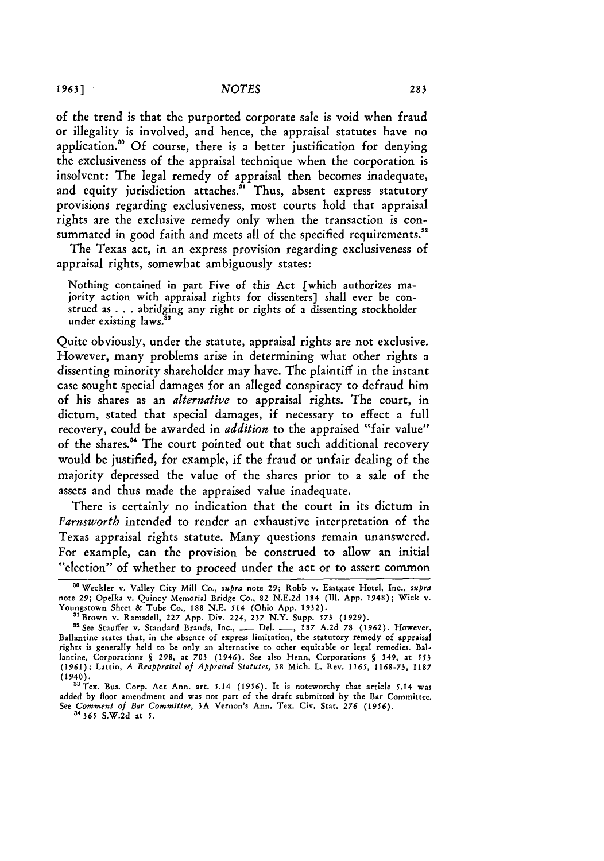*1963* **]**

of the trend is that the purported corporate sale is void when fraud or illegality is involved, and hence, the appraisal statutes have no application." Of course, there is a better justification for denying the exclusiveness of the appraisal technique when the corporation is insolvent: The legal remedy of appraisal then becomes inadequate, and equity jurisdiction attaches.<sup>31</sup> Thus, absent express statutory provisions regarding exclusiveness, most courts hold that appraisal rights are the exclusive remedy only when the transaction is consummated in good faith and meets all of the specified requirements.<sup>32</sup>

The Texas act, in an express provision regarding exclusiveness of appraisal rights, somewhat ambiguously states:

Nothing contained in part Five of this Act [which authorizes majority action with appraisal rights for dissenters] shall ever be construed as **. . .** abridging any right or rights of a dissenting stockholder under existing laws.<sup>33</sup>

Quite obviously, under the statute, appraisal rights are not exclusive. However, many problems arise in determining what other rights a dissenting minority shareholder may have. The plaintiff in the instant case sought special damages for an alleged conspiracy to defraud him of his shares as an *alternative* to appraisal rights. The court, in dictum, stated that special damages, if necessary to effect a full recovery, could be awarded in *addition* to the appraised "fair value" of the shares." The court pointed out that such additional recovery would be justified, for example, if the fraud or unfair dealing of the majority depressed the value of the shares prior to a sale of the assets and thus made the appraised value inadequate.

There is certainly no indication that the court in its dictum in *Farnsworth* intended to render an exhaustive interpretation of the Texas appraisal rights statute. Many questions remain unanswered. For example, can the provision be construed to allow an initial "election" of whether to proceed under the act or to assert common

**<sup>30</sup>** Weckler v. Valley City Mill Co., *supra* note **29;** Robb v. Eastgate Hotel, Inc., *supra* note **29;** Opelka v. Quincy Memorial Bridge Co., 82 N.E.2d 184 (Il. App. 1948); Wick v. Youngstown Sheet & Tube Co., 188 N.E. *514* (Ohio App. 1932).

**<sup>&</sup>quot;** Brown v. Ramsdell, **227** App. Div. 224, **237** N.Y. Supp. **573** (1929).

<sup>&</sup>quot;2See Stauffer **v,** Standard Brands, Inc., **-** Del. **-, 187** A.2d **78** (1962). However, Ballantine states that, in the absence of express limitation, the statutory remedy of appraisal rights is generally held to be only an alternative to other equitable or legal remedies. Ballantine, Corporations **§** 298, at **703** (1946). See also Henn, Corporations **§** 349, at *553* **(1961);** Lattin, *A Reappraisal of Appraisal Statutes,* **38** Mich. L. Rev. **1165,** 1168-73, 1187 (1940). ' Tex. Bus. Corp. Act Ann. art. 5.14 *(1956).* It is noteworthy that article 5.14 was

added **by** floor amendment and was not part of the draft submitted **by** the Bar Committee. See *Comment of Bar Committee,* **3A** Vernon's Ann. Tex. Civ. Stat. *276 (1956).* **<sup>3</sup>***365* **S.W.2d** at **5.**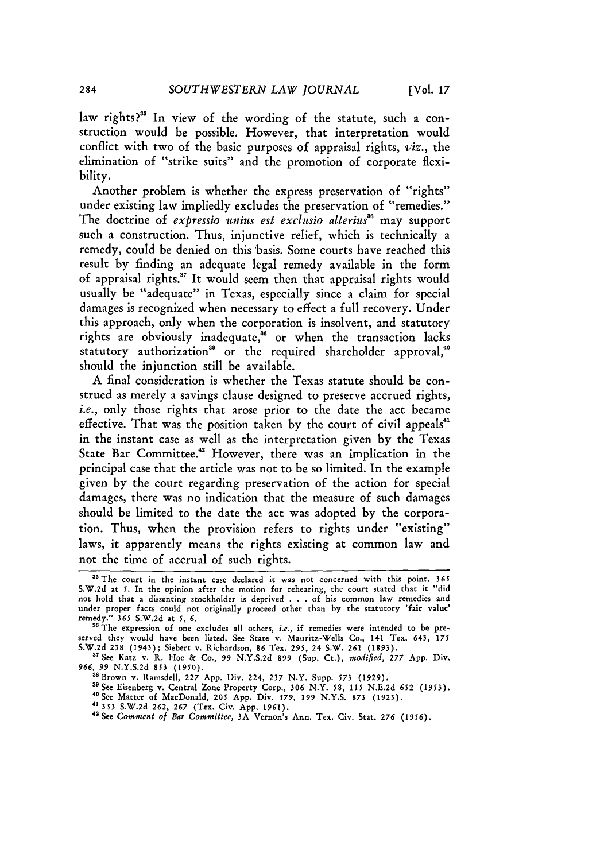law rights?<sup>35</sup> In view of the wording of the statute, such a construction would be possible. However, that interpretation would conflict with two of the basic purposes of appraisal rights, *viz.,* the elimination of "strike suits" and the promotion of corporate flexibility.

Another problem is whether the express preservation of "rights" under existing law impliedly excludes the preservation of "remedies." The doctrine of *expressio unius est exclusio alterius*<sup>36</sup> may support such a construction. Thus, injunctive relief, which is technically a remedy, could be denied on this basis. Some courts have reached this result by finding an adequate legal remedy available in the form of appraisal rights." It would seem then that appraisal rights would usually be "adequate" in Texas, especially since a claim for special damages is recognized when necessary to effect a full recovery. Under this approach, only when the corporation is insolvent, and statutory rights are obviously inadequate," or when the transaction lacks statutory authorization<sup>39</sup> or the required shareholder approval,<sup>4</sup> should the injunction still be available.

**A** final consideration is whether the Texas statute should be construed as merely a savings clause designed to preserve accrued rights, *i.e.*, only those rights that arose prior to the date the act became effective. That was the position taken by the court of civil appeals"' in the instant case as well as the interpretation given by the Texas State Bar Committee.<sup>42</sup> However, there was an implication in the principal case that the article was not to be so limited. In the example given by the court regarding preservation of the action for special damages, there was no indication that the measure of such damages should be limited to the date the act was adopted by the corporation. Thus, when the provision refers to rights under "existing" laws, it apparently means the rights existing at common law and not the time of accrual of such rights.

- 
- 

<sup>&</sup>lt;sup>35</sup> The court in the instant case declared it was not concerned with this point, 365 S.W.2d at **5.** In the opinion after the motion for rehearing, the court stated that it "did not hold that a dissenting stockholder is deprived .**.** .of his common law remedies and under proper facts could not originally proceed other than by the statutory 'fair value' remedy." 365 **S.W.2d** at *5, 6.*

<sup>&</sup>lt;sup>36</sup> The expression of one excludes all others, *i.e.*, if remedies were intended to be preserved they would have been listed. See State v. Mauritz-Wells Co., 141 Tex. 643, 175 S.W.2d 238 (1943); Siebert v. Richardson, 86 Tex. 295, 24 S.W. 261 (1893).

**<sup>87</sup>**See Katz v. R. Hoe & Co., 99 N.Y.S.2d 899 (Sup. Ct.), *modified,* 277 App. Div. *966, 99* **N.Y.S.2d** 853 **(1950).** aBrown v. Ramsdell, **227** App. Div. 224, 237 N.Y. Supp. **573** (1929).

**<sup>&</sup>quot;gSee** Eisenberg v. Central Zone Property Corp., **306** N.Y. **58,** 115 **N.E.2d** *652 (1953).*

<sup>&</sup>lt;sup>40</sup> See Matter of MacDonald, 205 App. Div. 579, 199 N.Y.S. 873 (1923).<br><sup>41</sup> 353 S.W.2d 262, 267 (Tex. Civ. App. 1961).<br><sup>42</sup> See Comment of Bar Committee, 3A Vernon's Ann. Tex. Civ. Stat. 276 (1956).